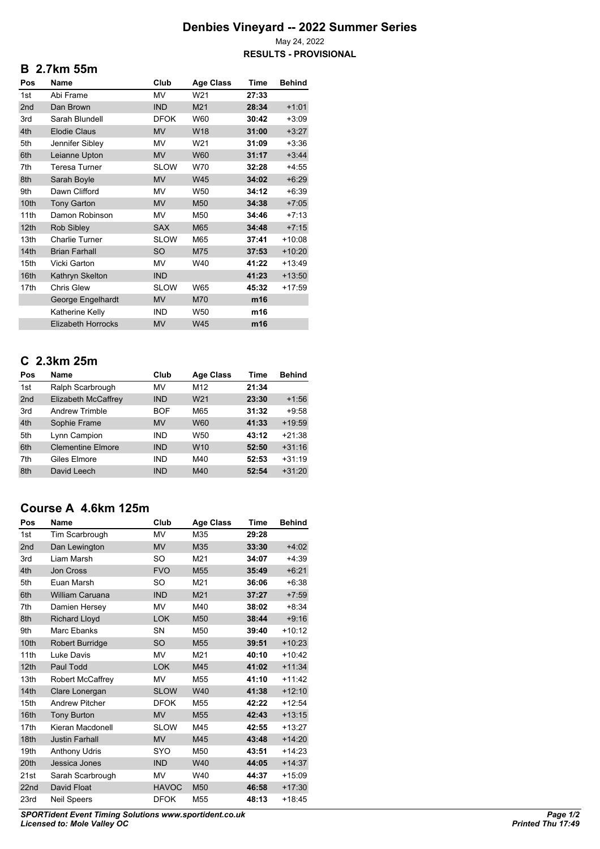## **Denbies Vineyard -- 2022 Summer Series**

May 24, 2022 **RESULTS - PROVISIONAL**

#### **B 2.7km 55m**

| Pos              | Name                      | Club        | <b>Age Class</b> | Time  | <b>Behind</b> |
|------------------|---------------------------|-------------|------------------|-------|---------------|
| 1st              | Abi Frame                 | MV          | W21              | 27:33 |               |
| 2nd              | Dan Brown                 | <b>IND</b>  | M21              | 28:34 | $+1:01$       |
| 3rd              | Sarah Blundell            | <b>DFOK</b> | W60              | 30:42 | $+3:09$       |
| 4th              | <b>Elodie Claus</b>       | <b>MV</b>   | W18              | 31:00 | $+3:27$       |
| 5th              | Jennifer Sibley           | <b>MV</b>   | W21              | 31:09 | $+3:36$       |
| 6th              | Leianne Upton             | <b>MV</b>   | <b>W60</b>       | 31:17 | $+3:44$       |
| 7th              | Teresa Turner             | <b>SLOW</b> | W70              | 32:28 | $+4:55$       |
| 8th              | Sarah Boyle               | <b>MV</b>   | <b>W45</b>       | 34:02 | $+6:29$       |
| 9th              | Dawn Clifford             | <b>MV</b>   | W <sub>50</sub>  | 34:12 | $+6:39$       |
| 10th             | <b>Tony Garton</b>        | <b>MV</b>   | M50              | 34:38 | $+7:05$       |
| 11th             | Damon Robinson            | <b>MV</b>   | M50              | 34:46 | $+7:13$       |
| 12 <sub>th</sub> | Rob Sibley                | <b>SAX</b>  | M65              | 34:48 | $+7:15$       |
| 13th             | <b>Charlie Turner</b>     | <b>SLOW</b> | M65              | 37:41 | $+10:08$      |
| 14th             | <b>Brian Farhall</b>      | <b>SO</b>   | M75              | 37:53 | $+10:20$      |
| 15th             | Vicki Garton              | MV          | W40              | 41:22 | $+13:49$      |
| 16th             | Kathryn Skelton           | <b>IND</b>  |                  | 41:23 | $+13:50$      |
| 17th             | <b>Chris Glew</b>         | <b>SLOW</b> | W65              | 45:32 | +17:59        |
|                  | George Engelhardt         | <b>MV</b>   | M70              | m16   |               |
|                  | Katherine Kelly           | <b>IND</b>  | W50              | m16   |               |
|                  | <b>Elizabeth Horrocks</b> | <b>MV</b>   | <b>W45</b>       | m16   |               |

# **C 2.3km 25m**

| Pos             | Name                     | Club       | <b>Age Class</b> | Time  | <b>Behind</b> |
|-----------------|--------------------------|------------|------------------|-------|---------------|
| 1st             | Ralph Scarbrough         | MV         | M <sub>12</sub>  | 21:34 |               |
| 2 <sub>nd</sub> | Elizabeth McCaffrey      | <b>IND</b> | W <sub>21</sub>  | 23:30 | $+1:56$       |
| 3rd             | Andrew Trimble           | <b>BOF</b> | M65              | 31:32 | $+9:58$       |
| 4th             | Sophie Frame             | <b>MV</b>  | <b>W60</b>       | 41:33 | $+19:59$      |
| 5th             | Lynn Campion             | <b>IND</b> | W50              | 43:12 | $+21:38$      |
| 6th             | <b>Clementine Elmore</b> | <b>IND</b> | W <sub>10</sub>  | 52:50 | $+31:16$      |
| 7th             | Giles Elmore             | <b>IND</b> | M40              | 52:53 | $+31:19$      |
| 8th             | David Leech              | <b>IND</b> | M40              | 52:54 | $+31:20$      |

## **Course A 4.6km 125m**

| Pos              | <b>Name</b>           | Club         | Age Class       | <b>Time</b> | <b>Behind</b> |
|------------------|-----------------------|--------------|-----------------|-------------|---------------|
| 1st              | Tim Scarbrough        | MV           | M35             | 29:28       |               |
| 2nd              | Dan Lewington         | <b>MV</b>    | M35             | 33:30       | $+4:02$       |
| 3rd              | Liam Marsh            | SO           | M21             | 34:07       | $+4:39$       |
| 4th              | <b>Jon Cross</b>      | <b>FVO</b>   | M <sub>55</sub> | 35:49       | $+6:21$       |
| 5th              | Euan Marsh            | SO           | M21             | 36:06       | $+6:38$       |
| 6th              | William Caruana       | <b>IND</b>   | M21             | 37:27       | $+7:59$       |
| 7th              | Damien Hersey         | <b>MV</b>    | M40             | 38:02       | $+8:34$       |
| 8th              | <b>Richard Lloyd</b>  | <b>LOK</b>   | M50             | 38:44       | $+9:16$       |
| 9th              | Marc Ebanks           | SN           | M50             | 39:40       | $+10:12$      |
| 10th             | Robert Burridge       | <b>SO</b>    | M <sub>55</sub> | 39:51       | $+10:23$      |
| 11th             | Luke Davis            | <b>MV</b>    | M21             | 40:10       | $+10:42$      |
| 12 <sub>th</sub> | Paul Todd             | <b>LOK</b>   | M45             | 41:02       | $+11:34$      |
| 13th             | Robert McCaffrey      | MV           | M55             | 41:10       | $+11:42$      |
| 14 <sup>th</sup> | Clare Lonergan        | <b>SLOW</b>  | W40             | 41:38       | $+12:10$      |
| 15th             | <b>Andrew Pitcher</b> | <b>DFOK</b>  | M55             | 42:22       | $+12:54$      |
| 16th             | <b>Tony Burton</b>    | <b>MV</b>    | M55             | 42:43       | $+13:15$      |
| 17th             | Kieran Macdonell      | <b>SLOW</b>  | M45             | 42:55       | $+13:27$      |
| 18th             | <b>Justin Farhall</b> | <b>MV</b>    | M45             | 43:48       | $+14:20$      |
| 19th             | <b>Anthony Udris</b>  | SYO          | M50             | 43:51       | $+14:23$      |
| 20th             | Jessica Jones         | <b>IND</b>   | W40             | 44:05       | $+14:37$      |
| 21st             | Sarah Scarbrough      | <b>MV</b>    | W40             | 44:37       | $+15:09$      |
| 22nd             | David Float           | <b>HAVOC</b> | M <sub>50</sub> | 46:58       | $+17:30$      |
| 23rd             | <b>Neil Speers</b>    | <b>DFOK</b>  | M <sub>55</sub> | 48:13       | $+18:45$      |